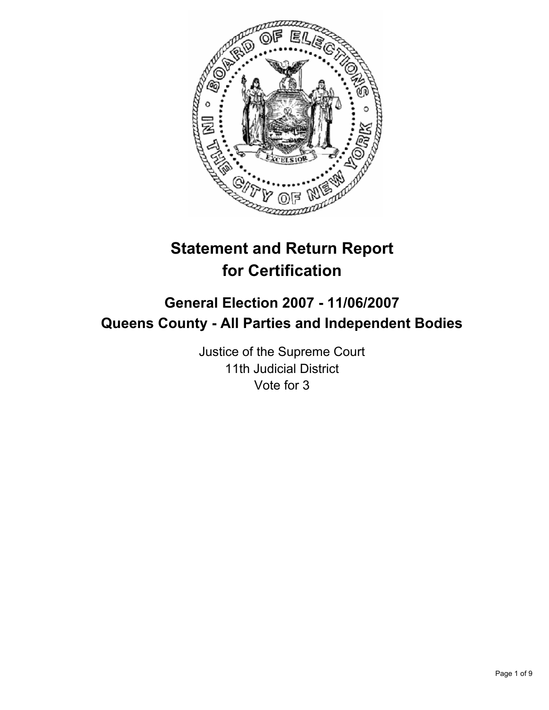

# **Statement and Return Report for Certification**

# **General Election 2007 - 11/06/2007 Queens County - All Parties and Independent Bodies**

Justice of the Supreme Court 11th Judicial District Vote for 3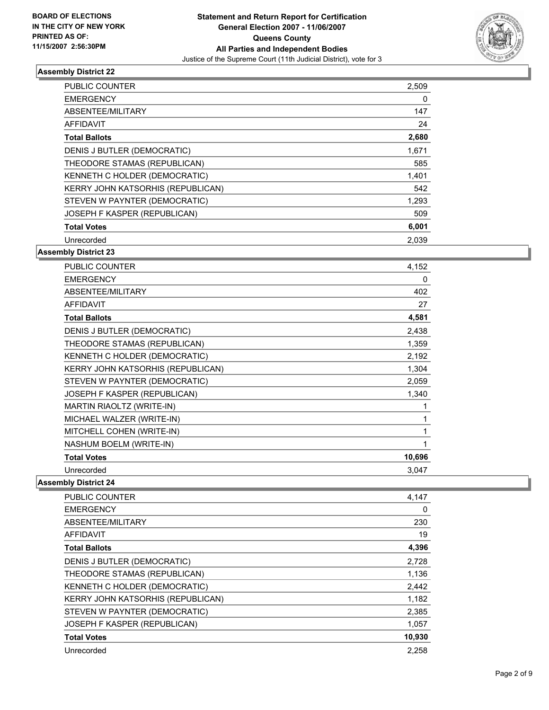

| PUBLIC COUNTER                    | 2,509 |  |
|-----------------------------------|-------|--|
| <b>EMERGENCY</b>                  | 0     |  |
| ABSENTEE/MILITARY                 | 147   |  |
| AFFIDAVIT                         | 24    |  |
| <b>Total Ballots</b>              | 2,680 |  |
| DENIS J BUTLER (DEMOCRATIC)       | 1,671 |  |
| THEODORE STAMAS (REPUBLICAN)      | 585   |  |
| KENNETH C HOLDER (DEMOCRATIC)     | 1,401 |  |
| KERRY JOHN KATSORHIS (REPUBLICAN) | 542   |  |
| STEVEN W PAYNTER (DEMOCRATIC)     | 1,293 |  |
| JOSEPH F KASPER (REPUBLICAN)      | 509   |  |
| <b>Total Votes</b>                | 6,001 |  |
| Unrecorded                        | 2,039 |  |

# **Assembly District 23**

| <b>PUBLIC COUNTER</b>             | 4,152  |
|-----------------------------------|--------|
| <b>EMERGENCY</b>                  | 0      |
| ABSENTEE/MILITARY                 | 402    |
| <b>AFFIDAVIT</b>                  | 27     |
| <b>Total Ballots</b>              | 4,581  |
| DENIS J BUTLER (DEMOCRATIC)       | 2,438  |
| THEODORE STAMAS (REPUBLICAN)      | 1,359  |
| KENNETH C HOLDER (DEMOCRATIC)     | 2,192  |
| KERRY JOHN KATSORHIS (REPUBLICAN) | 1,304  |
| STEVEN W PAYNTER (DEMOCRATIC)     | 2,059  |
| JOSEPH F KASPER (REPUBLICAN)      | 1,340  |
| <b>MARTIN RIAOLTZ (WRITE-IN)</b>  |        |
| MICHAEL WALZER (WRITE-IN)         |        |
| MITCHELL COHEN (WRITE-IN)         |        |
| NASHUM BOELM (WRITE-IN)           |        |
| <b>Total Votes</b>                | 10,696 |
| Unrecorded                        | 3,047  |

| PUBLIC COUNTER                    | 4,147  |
|-----------------------------------|--------|
| <b>EMERGENCY</b>                  | 0      |
| ABSENTEE/MILITARY                 | 230    |
| AFFIDAVIT                         | 19     |
| <b>Total Ballots</b>              | 4,396  |
| DENIS J BUTLER (DEMOCRATIC)       | 2,728  |
| THEODORE STAMAS (REPUBLICAN)      | 1,136  |
| KENNETH C HOLDER (DEMOCRATIC)     | 2,442  |
| KERRY JOHN KATSORHIS (REPUBLICAN) | 1,182  |
| STEVEN W PAYNTER (DEMOCRATIC)     | 2,385  |
| JOSEPH F KASPER (REPUBLICAN)      | 1,057  |
| <b>Total Votes</b>                | 10,930 |
| Unrecorded                        | 2.258  |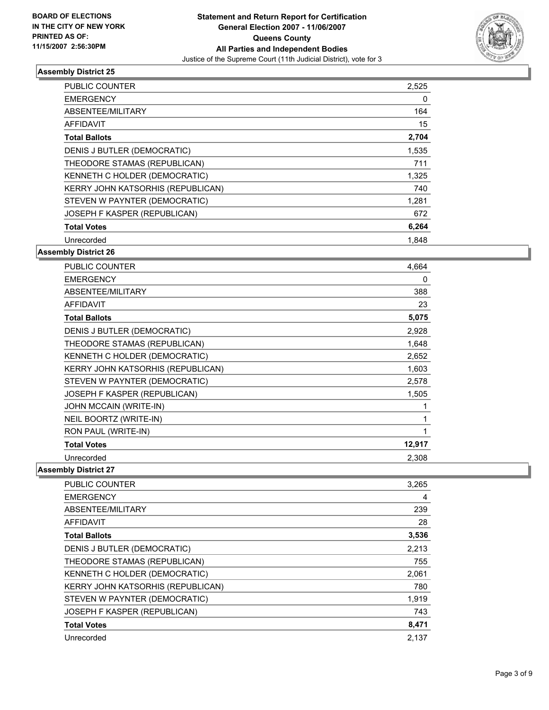

| PUBLIC COUNTER                    | 2,525 |
|-----------------------------------|-------|
| <b>EMERGENCY</b>                  | 0     |
| ABSENTEE/MILITARY                 | 164   |
| AFFIDAVIT                         | 15    |
| <b>Total Ballots</b>              | 2,704 |
| DENIS J BUTLER (DEMOCRATIC)       | 1,535 |
| THEODORE STAMAS (REPUBLICAN)      | 711   |
| KENNETH C HOLDER (DEMOCRATIC)     | 1,325 |
| KERRY JOHN KATSORHIS (REPUBLICAN) | 740   |
| STEVEN W PAYNTER (DEMOCRATIC)     | 1,281 |
| JOSEPH F KASPER (REPUBLICAN)      | 672   |
| <b>Total Votes</b>                | 6,264 |
| Unrecorded                        | 1.848 |

# **Assembly District 26**

| <b>PUBLIC COUNTER</b>             | 4,664  |
|-----------------------------------|--------|
| <b>EMERGENCY</b>                  | 0      |
| ABSENTEE/MILITARY                 | 388    |
| <b>AFFIDAVIT</b>                  | 23     |
| <b>Total Ballots</b>              | 5,075  |
| DENIS J BUTLER (DEMOCRATIC)       | 2,928  |
| THEODORE STAMAS (REPUBLICAN)      | 1,648  |
| KENNETH C HOLDER (DEMOCRATIC)     | 2,652  |
| KERRY JOHN KATSORHIS (REPUBLICAN) | 1,603  |
| STEVEN W PAYNTER (DEMOCRATIC)     | 2,578  |
| JOSEPH F KASPER (REPUBLICAN)      | 1,505  |
| JOHN MCCAIN (WRITE-IN)            |        |
| NEIL BOORTZ (WRITE-IN)            |        |
| RON PAUL (WRITE-IN)               |        |
| <b>Total Votes</b>                | 12,917 |
| Unrecorded                        | 2,308  |

| PUBLIC COUNTER                    | 3,265 |
|-----------------------------------|-------|
| <b>EMERGENCY</b>                  | 4     |
| ABSENTEE/MILITARY                 | 239   |
| AFFIDAVIT                         | 28    |
| <b>Total Ballots</b>              | 3,536 |
| DENIS J BUTLER (DEMOCRATIC)       | 2,213 |
| THEODORE STAMAS (REPUBLICAN)      | 755   |
| KENNETH C HOLDER (DEMOCRATIC)     | 2,061 |
| KERRY JOHN KATSORHIS (REPUBLICAN) | 780   |
| STEVEN W PAYNTER (DEMOCRATIC)     | 1,919 |
| JOSEPH F KASPER (REPUBLICAN)      | 743   |
| <b>Total Votes</b>                | 8,471 |
| Unrecorded                        | 2,137 |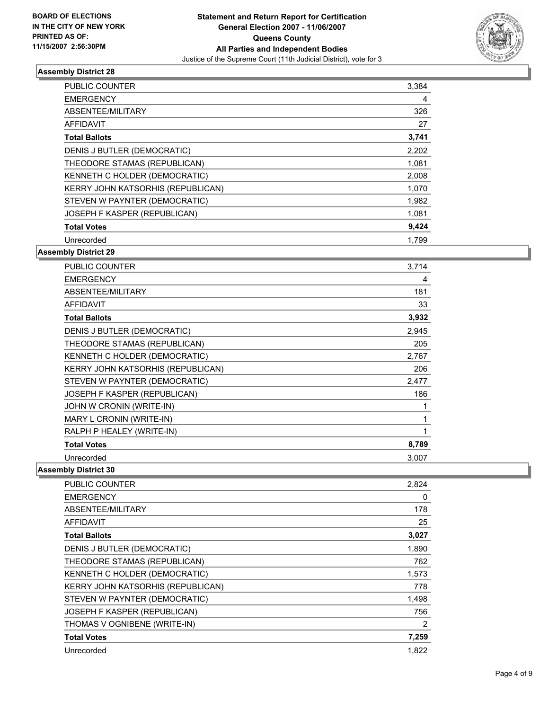

| <b>PUBLIC COUNTER</b>             | 3,384 |  |
|-----------------------------------|-------|--|
| <b>EMERGENCY</b>                  | 4     |  |
| ABSENTEE/MILITARY                 | 326   |  |
| AFFIDAVIT                         | 27    |  |
| <b>Total Ballots</b>              | 3,741 |  |
| DENIS J BUTLER (DEMOCRATIC)       | 2,202 |  |
| THEODORE STAMAS (REPUBLICAN)      | 1,081 |  |
| KENNETH C HOLDER (DEMOCRATIC)     | 2,008 |  |
| KERRY JOHN KATSORHIS (REPUBLICAN) | 1,070 |  |
| STEVEN W PAYNTER (DEMOCRATIC)     | 1,982 |  |
| JOSEPH F KASPER (REPUBLICAN)      | 1,081 |  |
| <b>Total Votes</b>                | 9,424 |  |
| Unrecorded                        | 1,799 |  |

# **Assembly District 29**

| PUBLIC COUNTER                    | 3,714 |
|-----------------------------------|-------|
| <b>EMERGENCY</b>                  | 4     |
| ABSENTEE/MILITARY                 | 181   |
| <b>AFFIDAVIT</b>                  | 33    |
| <b>Total Ballots</b>              | 3,932 |
| DENIS J BUTLER (DEMOCRATIC)       | 2,945 |
| THEODORE STAMAS (REPUBLICAN)      | 205   |
| KENNETH C HOLDER (DEMOCRATIC)     | 2,767 |
| KERRY JOHN KATSORHIS (REPUBLICAN) | 206   |
| STEVEN W PAYNTER (DEMOCRATIC)     | 2,477 |
| JOSEPH F KASPER (REPUBLICAN)      | 186   |
| JOHN W CRONIN (WRITE-IN)          |       |
| MARY L CRONIN (WRITE-IN)          |       |
| RALPH P HEALEY (WRITE-IN)         |       |
| <b>Total Votes</b>                | 8,789 |
| Unrecorded                        | 3,007 |

| <b>PUBLIC COUNTER</b>                    | 2,824 |
|------------------------------------------|-------|
| <b>EMERGENCY</b>                         | 0     |
| ABSENTEE/MILITARY                        | 178   |
| <b>AFFIDAVIT</b>                         | 25    |
| <b>Total Ballots</b>                     | 3,027 |
| DENIS J BUTLER (DEMOCRATIC)              | 1,890 |
| THEODORE STAMAS (REPUBLICAN)             | 762   |
| KENNETH C HOLDER (DEMOCRATIC)            | 1,573 |
| <b>KERRY JOHN KATSORHIS (REPUBLICAN)</b> | 778   |
| STEVEN W PAYNTER (DEMOCRATIC)            | 1,498 |
| JOSEPH F KASPER (REPUBLICAN)             | 756   |
| THOMAS V OGNIBENE (WRITE-IN)             | 2     |
| <b>Total Votes</b>                       | 7,259 |
| Unrecorded                               | 1.822 |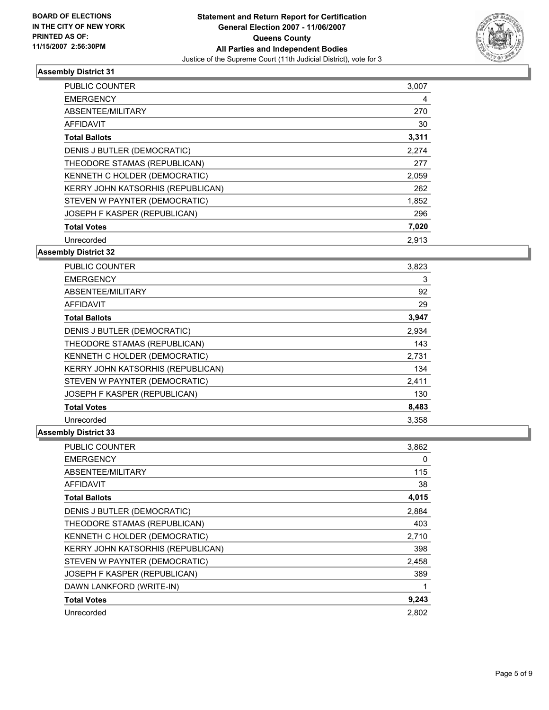

| PUBLIC COUNTER                    | 3,007 |  |
|-----------------------------------|-------|--|
| <b>EMERGENCY</b>                  | 4     |  |
| ABSENTEE/MILITARY                 | 270   |  |
| AFFIDAVIT                         | 30    |  |
| <b>Total Ballots</b>              | 3,311 |  |
| DENIS J BUTLER (DEMOCRATIC)       | 2.274 |  |
| THEODORE STAMAS (REPUBLICAN)      | 277   |  |
| KENNETH C HOLDER (DEMOCRATIC)     | 2,059 |  |
| KERRY JOHN KATSORHIS (REPUBLICAN) | 262   |  |
| STEVEN W PAYNTER (DEMOCRATIC)     | 1,852 |  |
| JOSEPH F KASPER (REPUBLICAN)      | 296   |  |
| <b>Total Votes</b>                | 7,020 |  |
| Unrecorded                        | 2,913 |  |

# **Assembly District 32**

| <b>PUBLIC COUNTER</b>             | 3,823 |  |
|-----------------------------------|-------|--|
| <b>EMERGENCY</b>                  | 3     |  |
| ABSENTEE/MILITARY                 | 92    |  |
| AFFIDAVIT                         | 29    |  |
| <b>Total Ballots</b>              | 3,947 |  |
| DENIS J BUTLER (DEMOCRATIC)       | 2,934 |  |
| THEODORE STAMAS (REPUBLICAN)      | 143   |  |
| KENNETH C HOLDER (DEMOCRATIC)     | 2,731 |  |
| KERRY JOHN KATSORHIS (REPUBLICAN) | 134   |  |
| STEVEN W PAYNTER (DEMOCRATIC)     | 2,411 |  |
| JOSEPH F KASPER (REPUBLICAN)      | 130   |  |
| <b>Total Votes</b>                | 8,483 |  |
| Unrecorded                        | 3,358 |  |

| PUBLIC COUNTER                    | 3,862 |
|-----------------------------------|-------|
| <b>EMERGENCY</b>                  | 0     |
| ABSENTEE/MILITARY                 | 115   |
| AFFIDAVIT                         | 38    |
| <b>Total Ballots</b>              | 4,015 |
| DENIS J BUTLER (DEMOCRATIC)       | 2,884 |
| THEODORE STAMAS (REPUBLICAN)      | 403   |
| KENNETH C HOLDER (DEMOCRATIC)     | 2,710 |
| KERRY JOHN KATSORHIS (REPUBLICAN) | 398   |
| STEVEN W PAYNTER (DEMOCRATIC)     | 2,458 |
| JOSEPH F KASPER (REPUBLICAN)      | 389   |
| DAWN LANKFORD (WRITE-IN)          |       |
| <b>Total Votes</b>                | 9,243 |
| Unrecorded                        | 2,802 |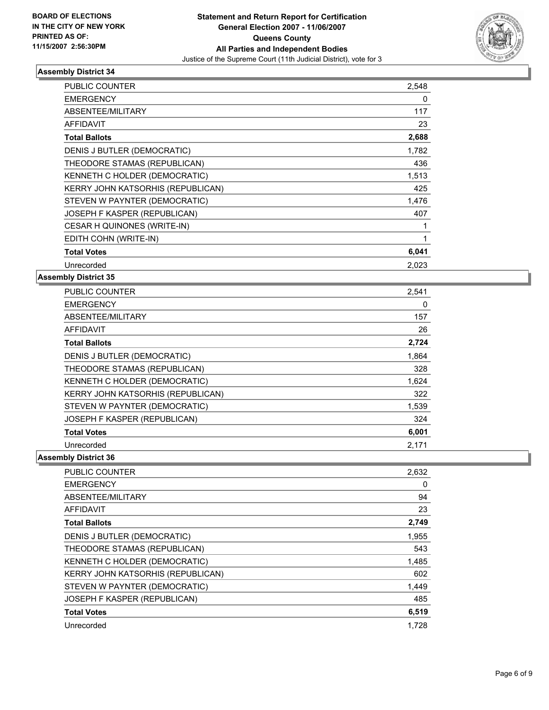

| <b>PUBLIC COUNTER</b>             | 2,548 |
|-----------------------------------|-------|
| <b>EMERGENCY</b>                  | 0     |
| <b>ABSENTEE/MILITARY</b>          | 117   |
| <b>AFFIDAVIT</b>                  | 23    |
| <b>Total Ballots</b>              | 2,688 |
| DENIS J BUTLER (DEMOCRATIC)       | 1,782 |
| THEODORE STAMAS (REPUBLICAN)      | 436   |
| KENNETH C HOLDER (DEMOCRATIC)     | 1,513 |
| KERRY JOHN KATSORHIS (REPUBLICAN) | 425   |
| STEVEN W PAYNTER (DEMOCRATIC)     | 1,476 |
| JOSEPH F KASPER (REPUBLICAN)      | 407   |
| CESAR H QUINONES (WRITE-IN)       |       |
| EDITH COHN (WRITE-IN)             |       |
| <b>Total Votes</b>                | 6,041 |
| Unrecorded                        | 2.023 |

#### **Assembly District 35**

| <b>PUBLIC COUNTER</b>             | 2,541 |
|-----------------------------------|-------|
| <b>EMERGENCY</b>                  | 0     |
| ABSENTEE/MILITARY                 | 157   |
| AFFIDAVIT                         | 26    |
| <b>Total Ballots</b>              | 2,724 |
| DENIS J BUTLER (DEMOCRATIC)       | 1.864 |
| THEODORE STAMAS (REPUBLICAN)      | 328   |
| KENNETH C HOLDER (DEMOCRATIC)     | 1,624 |
| KERRY JOHN KATSORHIS (REPUBLICAN) | 322   |
| STEVEN W PAYNTER (DEMOCRATIC)     | 1,539 |
| JOSEPH F KASPER (REPUBLICAN)      | 324   |
| <b>Total Votes</b>                | 6,001 |
| Unrecorded                        | 2,171 |

| PUBLIC COUNTER                    | 2,632 |
|-----------------------------------|-------|
| <b>EMERGENCY</b>                  | 0     |
| ABSENTEE/MILITARY                 | 94    |
| AFFIDAVIT                         | 23    |
| <b>Total Ballots</b>              | 2,749 |
| DENIS J BUTLER (DEMOCRATIC)       | 1,955 |
| THEODORE STAMAS (REPUBLICAN)      | 543   |
| KENNETH C HOLDER (DEMOCRATIC)     | 1,485 |
| KERRY JOHN KATSORHIS (REPUBLICAN) | 602   |
| STEVEN W PAYNTER (DEMOCRATIC)     | 1,449 |
| JOSEPH F KASPER (REPUBLICAN)      | 485   |
| <b>Total Votes</b>                | 6,519 |
| Unrecorded                        | 1,728 |
|                                   |       |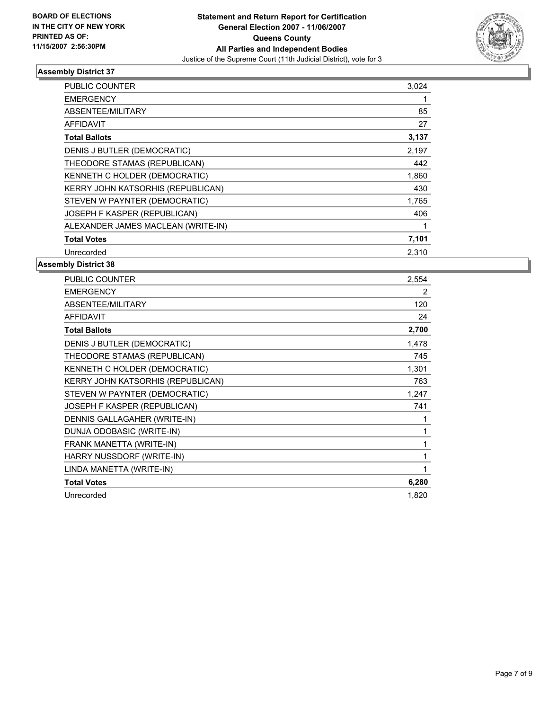

| PUBLIC COUNTER                     | 3,024 |  |
|------------------------------------|-------|--|
| <b>EMERGENCY</b>                   |       |  |
| ABSENTEE/MILITARY                  | 85    |  |
| <b>AFFIDAVIT</b>                   | 27    |  |
| <b>Total Ballots</b>               | 3,137 |  |
| DENIS J BUTLER (DEMOCRATIC)        | 2,197 |  |
| THEODORE STAMAS (REPUBLICAN)       | 442   |  |
| KENNETH C HOLDER (DEMOCRATIC)      | 1,860 |  |
| KERRY JOHN KATSORHIS (REPUBLICAN)  | 430   |  |
| STEVEN W PAYNTER (DEMOCRATIC)      | 1,765 |  |
| JOSEPH F KASPER (REPUBLICAN)       | 406   |  |
| ALEXANDER JAMES MACLEAN (WRITE-IN) |       |  |
| <b>Total Votes</b>                 | 7,101 |  |
| Unrecorded                         | 2,310 |  |

| PUBLIC COUNTER                    | 2,554 |
|-----------------------------------|-------|
| <b>EMERGENCY</b>                  | 2     |
| ABSENTEE/MILITARY                 | 120   |
| <b>AFFIDAVIT</b>                  | 24    |
| <b>Total Ballots</b>              | 2,700 |
| DENIS J BUTLER (DEMOCRATIC)       | 1,478 |
| THEODORE STAMAS (REPUBLICAN)      | 745   |
| KENNETH C HOLDER (DEMOCRATIC)     | 1,301 |
| KERRY JOHN KATSORHIS (REPUBLICAN) | 763   |
| STEVEN W PAYNTER (DEMOCRATIC)     | 1,247 |
| JOSEPH F KASPER (REPUBLICAN)      | 741   |
| DENNIS GALLAGAHER (WRITE-IN)      |       |
| DUNJA ODOBASIC (WRITE-IN)         |       |
| FRANK MANETTA (WRITE-IN)          |       |
| HARRY NUSSDORF (WRITE-IN)         |       |
| LINDA MANETTA (WRITE-IN)          |       |
| <b>Total Votes</b>                | 6,280 |
| Unrecorded                        | 1,820 |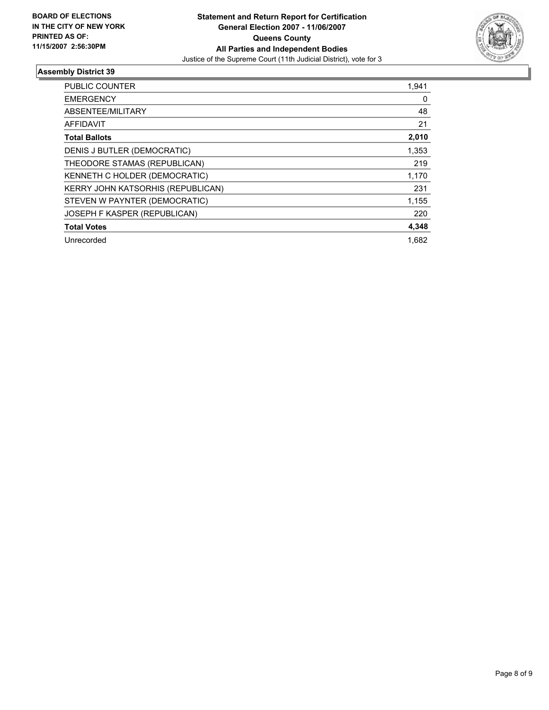

| <b>PUBLIC COUNTER</b>             | 1,941 |
|-----------------------------------|-------|
| <b>EMERGENCY</b>                  | 0     |
| ABSENTEE/MILITARY                 | 48    |
| <b>AFFIDAVIT</b>                  | 21    |
| <b>Total Ballots</b>              | 2,010 |
| DENIS J BUTLER (DEMOCRATIC)       | 1,353 |
| THEODORE STAMAS (REPUBLICAN)      | 219   |
| KENNETH C HOLDER (DEMOCRATIC)     | 1,170 |
| KERRY JOHN KATSORHIS (REPUBLICAN) | 231   |
| STEVEN W PAYNTER (DEMOCRATIC)     | 1,155 |
| JOSEPH F KASPER (REPUBLICAN)      | 220   |
| <b>Total Votes</b>                | 4,348 |
| Unrecorded                        | 1,682 |